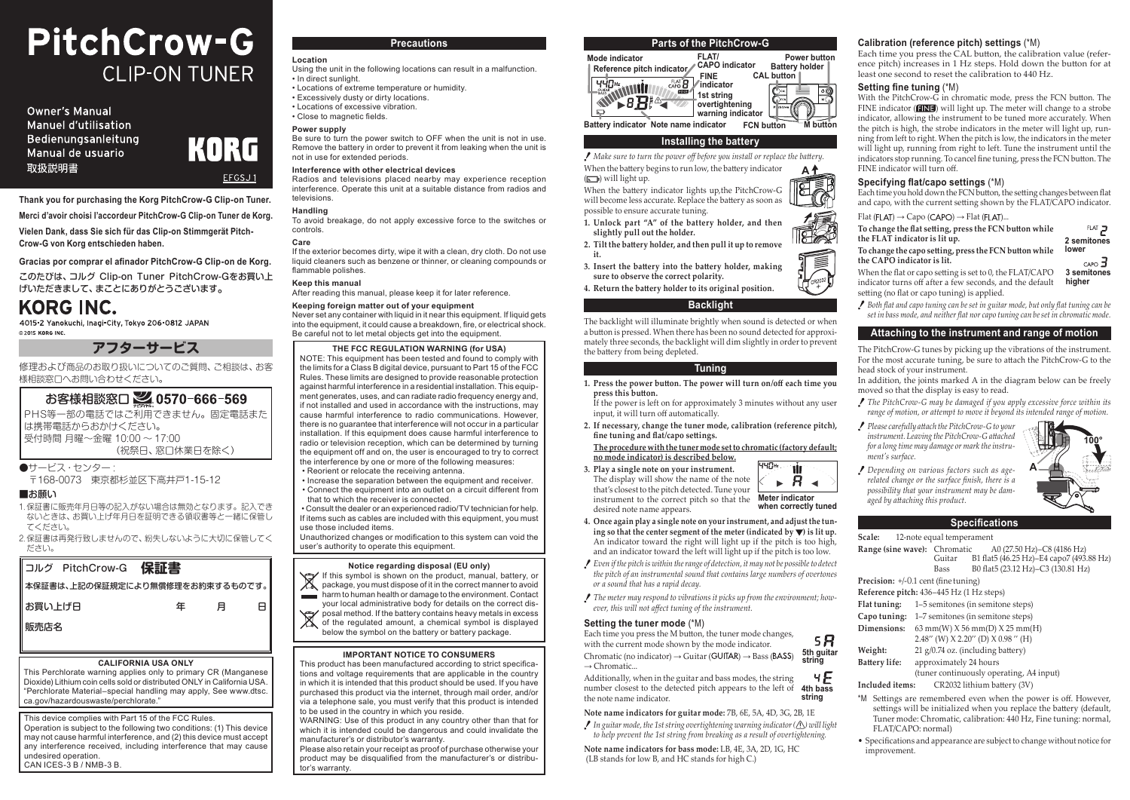# PitchCrow-G **CLIP-ON TUNER**

**Owner's Manual** Manuel d'utilisation Bedienungsanleitung Manual de usuario 取扱説明書



**Thank you for purchasing the Korg PitchCrow-G Clip-on Tuner.**

**Merci d'avoir choisi l'accordeur PitchCrow-G Clip-on Tuner de Korg. Vielen Dank, dass Sie sich für das Clip-on Stimmgerät Pitch-**

**Crow-G von Korg entschieden haben.**

**Gracias por comprar el afinador PitchCrow-G Clip-on de Korg.** このたびは、コルグ Clip-on Tuner PitchCrow-Gをお買い上 げいただきまして、まことにありがとうございます。

# KORG INC.

4015-2 Yanokuchi, Inagi-City, Tokyo 206-0812 JAPAN @ 2015 KORG INC

**アフターサービス**

修理および商品のお取り扱いについてのご質問、ご相談は、お客 様相談窓口へお問い合わせください。

# お客様相談窓口 240570-666-569

PHS等一部の電話ではご利用できません。固定電話また は携帯電話からおかけください。 受付時間 月曜~金曜 10:00 ~ 17:00 (祝祭日、窓口休業日を除く)

●サービス・センター

〒168-0073 東京都杉並区下高井戸1-15-12

# ■お願い

- 1.保証書に販売年月日等の記入がない場合は無効となります。記入でき かとしてはないという。<br>ないときは、お買い上げ年月日を証明できる領収書等と一緒に保管し てください。
- 2.保証書は再発行致しませんので、紛失しないように大切に保管してく ださい。



#### **CALIFORNIA USA ONLY**

This Perchlorate warning applies only to primary CR (Manganese Dioxide) Lithium coin cells sold or distributed ONLY in California USA. "Perchlorate Material–special handling may apply, See www.dtsc. ca.gov/hazardouswaste/perchlorate."

This device complies with Part 15 of the FCC Rules. Operation is subject to the following two conditions: (1) This device may not cause harmful interference, and (2) this device must accept any interference received, including interference that may cause undesired operation. CAN ICES-3 B / NMB-3 B.

# **Precautions**

#### **Location** Using the unit in the following locations can result in a malfunction. • In direct sunlight.

• Locations of extreme temperature or humidity. • Excessively dusty or dirty locations. • Locations of excessive vibration. • Close to magnetic fields.

# **Power supply**

Be sure to turn the power switch to OFF when the unit is not in use. Remove the battery in order to prevent it from leaking when the unit is not in use for extended periods.

#### **Interference with other electrical devices**

Radios and televisions placed nearby may experience reception interference. Operate this unit at a suitable distance from radios and televisions.

#### **Handling**

To avoid breakage, do not apply excessive force to the switches or controls.

# **Care**

If the exterior becomes dirty, wipe it with a clean, dry cloth. Do not use liquid cleaners such as benzene or thinner, or cleaning compounds or flammable polishes.

#### **Keep this manual**

After reading this manual, please keep it for later reference.

#### **Keeping foreign matter out of your equipment**

Never set any container with liquid in it near this equipment. If liquid gets into the equipment, it could cause a breakdown, fire, or electrical shock. Be careful not to let metal objects get into the equipment.

#### **THE FCC REGULATION WARNING (for USA)**

NOTE: This equipment has been tested and found to comply with the limits for a Class B digital device, pursuant to Part 15 of the FCC Rules. These limits are designed to provide reasonable protection against harmful interference in a residential installation. This equipment generates, uses, and can radiate radio frequency energy and, if not installed and used in accordance with the instructions, may cause harmful interference to radio communications. However, there is no guarantee that interference will not occur in a particular installation. If this equipment does cause harmful interference to radio or television reception, which can be determined by turning the equipment off and on, the user is encouraged to try to correct the interference by one or more of the following measures:

- Reorient or relocate the receiving antenna.
- Increase the separation between the equipment and receiver. • Connect the equipment into an outlet on a circuit different from that to which the receiver is connected.
- Consult the dealer or an experienced radio/TV technician for help. If items such as cables are included with this equipment, you must use those included items.

Unauthorized changes or modification to this system can void the user's authority to operate this equipment.

# **Notice regarding disposal (EU only)**

- If this symbol is shown on the product, manual, battery, or package, you must dispose of it in the correct manner to avoid
- harm to human health or damage to the environment. Contact
- your local administrative body for details on the correct disposal method. If the battery contains heavy metals in excess of the regulated amount, a chemical symbol is displayed
- below the symbol on the battery or battery package.

#### **IMPORTANT NOTICE TO CONSUMERS**

This product has been manufactured according to strict specifications and voltage requirements that are applicable in the country in which it is intended that this product should be used. If you have purchased this product via the internet, through mail order, and/or via a telephone sale, you must verify that this product is intended to be used in the country in which you reside.

WARNING: Use of this product in any country other than that for which it is intended could be dangerous and could invalidate the manufacturer's or distributor's warranty.

Please also retain your receipt as proof of purchase otherwise your product may be disqualified from the manufacturer's or distributor's warranty.

# **Parts of the PitchCrow-G**



# **Installing the battery**

*Make sure to turn the power off before you install or replace the battery.* When the battery begins to run low, the battery indicator **A**

 $(\Box)$  will light up. When the battery indicator lights up,the PitchCrow-G

- will become less accurate. Replace the battery as soon as possible to ensure accurate tuning.
- **1. Unlock part "A" of the battery holder, and then slightly pull out the holder.**
- **2. Tilt the battery holder, and then pull it up to remove it.**
- **3. Insert the battery into the battery holder, making sure to observe the correct polarity.**
- **4. Return the battery holder to its original position.**

# **Backlight**

The backlight will illuminate brightly when sound is detected or when a button is pressed. When there has been no sound detected for approximately three seconds, the backlight will dim slightly in order to prevent the battery from being depleted.

#### **Tuning**

- **1. Press the power button. The power will turn on/off each time you press this button.**
- If the power is left on for approximately 3 minutes without any user input, it will turn off automatically.
- **2. If necessary, change the tuner mode, calibration (reference pitch), fine tuning and flat/capo settings.**

#### **The procedure with the tuner mode set to chromatic (factory default; no mode indicator) is described below.**

- 440+ **3. Play a single note on your instrument.** The display will show the name of the note  $\mathbb{R}$   $R$   $\mathbb{R}$ that's closest to the pitch detected. Tune your instrument to the correct pitch so that the **Meter indicator when correctly tuned** desired note name appears.
- **4. Once again play a single note on your instrument, and adjust the tun**ing so that the center segment of the meter (indicated by  $\blacktriangledown$ ) is lit up. An indicator toward the right will light up if the pitch is too high, and an indicator toward the left will light up if the pitch is too low.
- *Even if the pitch is within the range of detection, it may not be possible to detect the pitch of an instrumental sound that contains large numbers of overtones or a sound that has a rapid decay.*
- *The meter may respond to vibrations it picks up from the environment; however, this will not affect tuning of the instrument.*

#### **Setting the tuner mode** (\*M)

Each time you press the M button, the tuner mode changes, 58 with the current mode shown by the mode indicator.

Chromatic (no indicator)  $\rightarrow$  Guitar (GUITAR)  $\rightarrow$  Bass (BASS)  $\rightarrow$  Chromatic... **5th guitar string**

 $4F$ Additionally, when in the guitar and bass modes, the string number closest to the detected pitch appears to the left of **4th bass** the note name indicator. **string**

#### **Note name indicators for guitar mode:** 7B, 6E, 5A, 4D, 3G, 2B, 1E

*In guitar mode, the 1st string overtightening warning indicator ( ) will light to help prevent the 1st string from breaking as a result of overtightening.*

**Note name indicators for bass mode:** LB, 4E, 3A, 2D, 1G, HC (LB stands for low B, and HC stands for high C.)

### **Calibration (reference pitch) settings** (\*M)

Each time you press the CAL button, the calibration value (reference pitch) increases in 1 Hz steps. Hold down the button for at least one second to reset the calibration to 440 Hz.

# **Setting fine tuning** (\*M)

With the PitchCrow-G in chromatic mode, press the FCN button. The FINE indicator  $($  $\Box \Box \Box$ ) will light up. The meter will change to a strobe indicator, allowing the instrument to be tuned more accurately. When the pitch is high, the strobe indicators in the meter will light up, running from left to right. When the pitch is low, the indicators in the meter will light up, running from right to left. Tune the instrument until the indicators stop running. To cancel fine tuning, press the FCN button. The FINE indicator will turn off.



T

Ŵ

**Specifying flat/capo settings** (\*M) Each time you hold down the FCN button, the setting changes between flat

and capo, with the current setting shown by the FLAT/CAPO indicator.

 $Flat$  ( $FLAT$ )  $\rightarrow$  Capo (CAPO)  $\rightarrow$  Flat ( $FLAT$ )...

| To change the flat setting, press the FCN button while   | FLAT <sub>2</sub>     |
|----------------------------------------------------------|-----------------------|
| the FLAT indicator is lit up.                            | 2 semitones           |
| To change the capo setting, press the FCN button while   | lower                 |
| the CAPO indicator is lit.                               | $CAPO$ $\overline{d}$ |
| When the flat or capo setting is set to 0, the FLAT/CAPO | 3 semitones           |

When the flat or capo setting is set to 0, the FLAT/CAPO indicator turns off after a few seconds, and the default **3 semitones higher** setting (no flat or capo tuning) is applied.

*Both flat and capo tuning can be set in guitar mode, but only flat tuning can be set in bass mode, and neither flat nor capo tuning can be set in chromatic mode.*

# **Attaching to the instrument and range of motion**

The PitchCrow-G tunes by picking up the vibrations of the instrument. For the most accurate tuning, be sure to attach the PitchCrow-G to the head stock of your instrument.

In addition, the joints marked A in the diagram below can be freely moved so that the display is easy to read.

- *The PitchCrow-G may be damaged if you apply excessive force within its range of motion, or attempt to move it beyond its intended range of motion.*
- *Please carefully attach the PitchCrow-G to your instrument. Leaving the PitchCrow-G attached for a long time may damage or mark the instrument's surface.*

*Depending on various factors such as agerelated change or the surface finish, there is a possibility that your instrument may be damaged by attaching this product.*

# **Specifications**

**Range (sine wave):** Chromatic A0 (27.50 Hz)–C8 (4186 Hz)<br>Guitar B1 flat5 (46.25 Hz)–E4 capo7 (493

(tuner continuously operating, A4 input)

\*M Settings are remembered even when the power is off. However, settings will be initialized when you replace the battery (default, Tuner mode: Chromatic, calibration: 440 Hz, Fine tuning: normal,

• Specifications and appearance are subject to change without notice for

B1 flat5 (46.25 Hz)–E4 capo7 (493.88 Hz)

**A**

**100°**

Bass B0 flat5 (23.12 Hz)–C3 (130.81 Hz)

**Scale:** 12-note equal temperament

**Precision:** +/-0.1 cent (fine tuning) **Reference pitch:** 436–445 Hz (1 Hz steps) **Flat tuning:** 1–5 semitones (in semitone steps) **Capo tuning:** 1–7 semitones (in semitone steps) **Dimensions:** 63 mm(W) X 56 mm(D) X 25 mm(H) 2.48" (W)  $X$  2.20" (D)  $X$  0.98" (H)

FLAT/CAPO: normal)

improvement.

**Weight:** 21 g/0.74 oz. (including battery) **Battery life:** approximately 24 hours

**Included items:** CR2032 lithium battery (3V)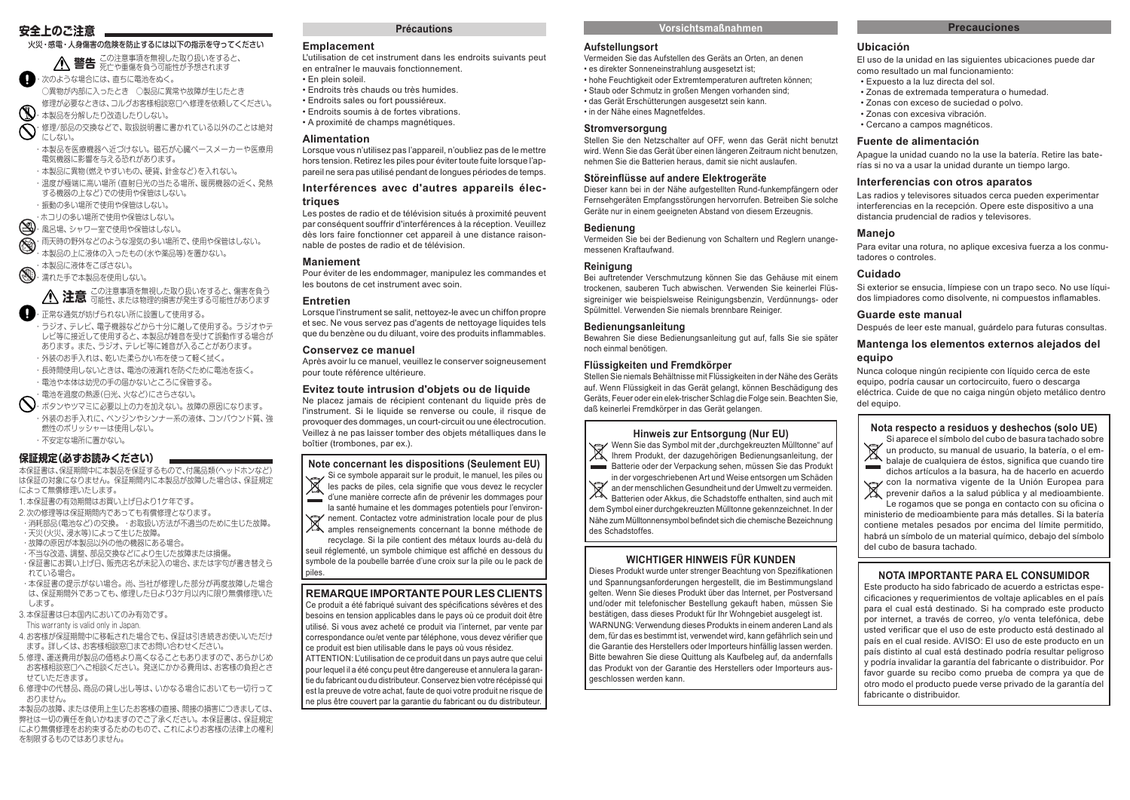# **安全上のご注意**

火災・感電・人身傷害の危険を防止するには以下の指示を守ってください

**警告** この注意事項を無視した取り扱いをすると、 死亡や重傷を負う可能性が予想されます ■・次のような場合には、直ちに電池をぬく。

○異物が内部に入ったとき ○製品に異常や故障が生じたとき 修理が必要なときは、コルグお客様相談窓口へ修理を依頼してください。

・本製品を分解したり改造したりしない。

・修理/部品の交換などで、取扱説明書に書かれている以外のことは絶対

にしない。 ・本製品を医療機器へ近づけない。磁石が心臓ペースメーカーや医療用 電気機器に影響を与える恐れがあります。

- ・本製品に異物(燃えやすいもの、硬貨、針金など)を入れない。
- ・温度が極端に高い場所(直射日光の当たる場所、暖房機器の近く、発熱 する機器の上など)での使用や保管はしない。

・振動の多い場所で使用や保管はしない。

・ホコリの多い場所で使用や保管はしない。

● 風呂場、シャワー室で使用や保管はしない。

● 雨天時の野外などのような湿気の多い場所で、使用や保管はしない。 ・本製品の上に液体の入ったもの(水や薬品等)を置かない。

・本製品に液体をこぼさない。

・濡れた手で本製品を使用しない。

 **注意** この注意事項を無視した取り扱いをすると、傷害を負う 可能性、または物理的損害が発生する可能性があります

・正常な通気が妨げられない所に設置して使用する。 ・ラジオ、テレビ、電子機器などから十分に離して使用する。ラジオやテ レビ等に接近して使用すると、本製品が雑音を受けて誤動作する場合が あります。また、ラジオ、テレビ等に雑音が入ることがあります。 ・外装のお手入れは、乾いた柔らかい布を使って軽く拭く。

・長時間使用しないときは、電池の液漏れを防ぐために電池を抜く。

・電池や本体は幼児の手の届かないところに保管する。

・電池を過度の熱源(日光、火など)にさらさない。

・ボタンやツマミに必要以上の力を加えない。故障の原因になります。 ・外装のお手入れに、ベンジンやシンナー系の液体、コンパウンド質、強 燃性のポリッシャーは使用しない。 ・不安定な場所に置かない。

# **保証規定(必ずお読みください)**

本保証書は、保証期間中に本製品を保証するもので、付属品類(ヘッドホンなど) は保証の対象になりません。保証期間内に本製品が故障した場合は、保証規定 によって無償修理いたします。

1. 本保証書の有効期間はお買い上げ日より1ケ年です。

2.次の修理等は保証期間内であっても有償修理となります。 ・消耗部品(電池など)の交換。 ・お取扱い方法が不適当のために生じた故障。 ・天災(火災、浸水等)によって生じた故障。

・故障の原因が本製品以外の他の機器にある場合。

・不当な改造、調整、部品交換などにより生じた故障または損傷。

・保証書にお買い上げ日、販売店名が未記入の場合、または字句が書き替えら れている場合。

・本保証書の提示がない場合。尚、当社が修理した部分が再度故障した場合 は、保証期間外であっても、修理した日より3ケ月以内に限り無償修理いた

します。 3.本保証書は日本国内においてのみ有効です。

This warranty is valid only in Japan.

4.お客様が保証期間中に移転された場合でも、保証は引き続きお使いいただけ ます。詳しくは、お客様相談窓口までお問い合わせください。

5.修理、運送費用が製品の価格より高くなることもありますので、あらかじめ お客様相談窓口へご相談ください。発送にかかる費用は、お客様の負担とさ せていただきます。

6.修理中の代替品、商品の貸し出し等は、いかなる場合においても一切行って おりません。

本製品の故障、または使用上生じたお客様の直接、間接の損害につきましては、 弊社は一切の責任を負いかねますのでご了承ください。本保証書は、保証規定 により無償修理をお約束するためのもので、これによりお客様の法律上の権利 を制限するものではありません。

# **Précautions**

#### **Emplacement**

L'utilisation de cet instrument dans les endroits suivants peut en entraîner le mauvais fonctionnement. • En plein soleil.

- Endroits très chauds ou très humides.
- Endroits sales ou fort poussiéreux.
- Endroits soumis à de fortes vibrations. • A proximité de champs magnétiques.
- 

# **Alimentation**

Lorsque vous n'utilisez pas l'appareil, n'oubliez pas de le mettre hors tension. Retirez les piles pour éviter toute fuite lorsque l'appareil ne sera pas utilisé pendant de longues périodes de temps.

# **Interférences avec d'autres appareils électriques**

Les postes de radio et de télévision situés à proximité peuvent par conséquent souffrir d'interférences à la réception. Veuillez dès lors faire fonctionner cet appareil à une distance raisonnable de postes de radio et de télévision.

# **Maniement**

Pour éviter de les endommager, manipulez les commandes et les boutons de cet instrument avec soin.

#### **Entretien**

Lorsque l'instrument se salit, nettoyez-le avec un chiffon propre et sec. Ne vous servez pas d'agents de nettoyage liquides tels que du benzène ou du diluant, voire des produits inflammables.

#### **Conservez ce manuel**

Après avoir lu ce manuel, veuillez le conserver soigneusement pour toute référence ultérieure.

# **Evitez toute intrusion d'objets ou de liquide**

Ne placez jamais de récipient contenant du liquide près de l'instrument. Si le liquide se renverse ou coule, il risque de provoquer des dommages, un court-circuit ou une électrocution. Veillez à ne pas laisser tomber des objets métalliques dans le boîtier (trombones, par ex.).

# **Note concernant les dispositions (Seulement EU)**

Si ce symbole apparait sur le produit, le manuel, les piles ou  $\overline{\mathbb{X}}$ les packs de piles, cela signifie que vous devez le recycler d'une manière correcte afin de prévenir les dommages pour <u>ا سا</u> la santé humaine et les dommages potentiels pour l'environ-

nement. Contactez votre administration locale pour de plus<br>A amples renseignements concernant la bonne méthode de amples renseignements concernant la bonne méthode de

recyclage. Si la pile contient des métaux lourds au-delà du seuil réglementé, un symbole chimique est affiché en dessous du symbole de la poubelle barrée d'une croix sur la pile ou le pack de piles.

# **REMARQUE IMPORTANTE POUR LES CLIENTS**

Ce produit a été fabriqué suivant des spécifications sévères et des besoins en tension applicables dans le pays où ce produit doit être utilisé. Si vous avez acheté ce produit via l'internet, par vente par correspondance ou/et vente par téléphone, vous devez vérifier que ce produit est bien utilisable dans le pays où vous résidez.

ATTENTION: L'utilisation de ce produit dans un pays autre que celui pour lequel il a été conçu peut être dangereuse et annulera la garantie du fabricant ou du distributeur. Conservez bien votre récépissé qui est la preuve de votre achat, faute de quoi votre produit ne risque de ne plus être couvert par la garantie du fabricant ou du distributeur.

# **Vorsichtsmaßnahmen**

#### **Aufstellungsort**

Vermeiden Sie das Aufstellen des Geräts an Orten, an denen • es direkter Sonneneinstrahlung ausgesetzt ist;

- hohe Feuchtigkeit oder Extremtemperaturen auftreten können;
- Staub oder Schmutz in großen Mengen vorhanden sind;
- das Gerät Erschütterungen ausgesetzt sein kann.
- in der Nähe eines Magnetfeldes.

# **Stromversorgung**

Stellen Sie den Netzschalter auf OFF, wenn das Gerät nicht benutzt wird. Wenn Sie das Gerät über einen längeren Zeitraum nicht benutzen, nehmen Sie die Batterien heraus, damit sie nicht auslaufen.

#### **Störeinflüsse auf andere Elektrogeräte**

Dieser kann bei in der Nähe aufgestellten Rund-funkempfängern oder Fernsehgeräten Empfangsstörungen hervorrufen. Betreiben Sie solche Geräte nur in einem geeigneten Abstand von diesem Erzeugnis.

#### **Bedienung**

Vermeiden Sie bei der Bedienung von Schaltern und Reglern unangemessenen Kraftaufwand.

# **Reinigung**

Bei auftretender Verschmutzung können Sie das Gehäuse mit einem trockenen, sauberen Tuch abwischen. Verwenden Sie keinerlei Flüssigreiniger wie beispielsweise Reinigungsbenzin, Verdünnungs- oder Spülmittel. Verwenden Sie niemals brennbare Reiniger.

#### **Bedienungsanleitung**

Bewahren Sie diese Bedienungsanleitung gut auf, falls Sie sie später noch einmal benötigen.

# **Flüssigkeiten und Fremdkörper**

Stellen Sie niemals Behältnisse mit Flüssigkeiten in der Nähe des Geräts auf. Wenn Flüssigkeit in das Gerät gelangt, können Beschädigung des Geräts, Feuer oder ein elek-trischer Schlag die Folge sein. Beachten Sie, daß keinerlei Fremdkörper in das Gerät gelangen.

#### **Hinweis zur Entsorgung (Nur EU)**

 $\overline{\mathbb{X}}$ Wenn Sie das Symbol mit der "durchgekreuzten Mülltonne" auf Ihrem Produkt, der dazugehörigen Bedienungsanleitung, der Batterie oder der Verpackung sehen, müssen Sie das Produkt in der vorgeschriebenen Art und Weise entsorgen um Schäden  $\mathbb{X}$ an der menschlichen Gesundheit und der Umwelt zu vermeiden. Batterien oder Akkus, die Schadstoffe enthalten, sind auch mit dem Symbol einer durchgekreuzten Mülltonne gekennzeichnet. In der Nähe zum Mülltonnensymbol befindet sich die chemische Bezeichnung des Schadstoffes.

# **WICHTIGER HINWEIS FÜR KUNDEN**

Dieses Produkt wurde unter strenger Beachtung von Spezifikationen und Spannungsanforderungen hergestellt, die im Bestimmungsland gelten. Wenn Sie dieses Produkt über das Internet, per Postversand und/oder mit telefonischer Bestellung gekauft haben, müssen Sie bestätigen, dass dieses Produkt für Ihr Wohngebiet ausgelegt ist. WARNUNG: Verwendung dieses Produkts in einem anderen Land als dem, für das es bestimmt ist, verwendet wird, kann gefährlich sein und die Garantie des Herstellers oder Importeurs hinfällig lassen werden. Bitte bewahren Sie diese Quittung als Kaufbeleg auf, da andernfalls das Produkt von der Garantie des Herstellers oder Importeurs ausgeschlossen werden kann.

#### **Precauciones**

# **Ubicación**

El uso de la unidad en las siguientes ubicaciones puede dar como resultado un mal funcionamiento:

- Expuesto a la luz directa del sol.
- Zonas de extremada temperatura o humedad.
- Zonas con exceso de suciedad o polvo.
- Zonas con excesiva vibración. • Cercano a campos magnéticos.

# **Fuente de alimentación**

Apague la unidad cuando no la use la batería. Retire las baterías si no va a usar la unidad durante un tiempo largo.

#### **Interferencias con otros aparatos**

Las radios y televisores situados cerca pueden experimentar interferencias en la recepción. Opere este dispositivo a una distancia prudencial de radios y televisores.

# **Manejo**

Para evitar una rotura, no aplique excesiva fuerza a los conmutadores o controles.

# **Cuidado**

**equipo**

del equipo.

÷

Si exterior se ensucia, límpiese con un trapo seco. No use líquidos limpiadores como disolvente, ni compuestos inflamables.

Después de leer este manual, guárdelo para futuras consultas. **Mantenga los elementos externos alejados del** 

Nunca coloque ningún recipiente con líquido cerca de este equipo, podría causar un cortocircuito, fuero o descarga eléctrica. Cuide de que no caiga ningún objeto metálico dentro

**Nota respecto a residuos y deshechos (solo UE)** Si aparece el símbolo del cubo de basura tachado sobre un producto, su manual de usuario, la batería, o el embalaje de cualquiera de éstos, significa que cuando tire<br>dichos artículos a la basura, ha de bacerlo en acuerdo dichos artículos a la basura, ha de hacerlo en acuerdo con la normativa vigente de la Unión Europea para prevenir daños a la salud pública y al medioambiente. Le rogamos que se ponga en contacto con su oficina o ministerio de medioambiente para más detalles. Si la batería contiene metales pesados por encima del límite permitido, habrá un símbolo de un material químico, debajo del símbolo

**NOTA IMPORTANTE PARA EL CONSUMIDOR** Este producto ha sido fabricado de acuerdo a estrictas especificaciones y requerimientos de voltaje aplicables en el país para el cual está destinado. Si ha comprado este producto por internet, a través de correo, y/o venta telefónica, debe usted verificar que el uso de este producto está destinado al país en el cual reside. AVISO: El uso de este producto en un país distinto al cual está destinado podría resultar peligroso y podría invalidar la garantía del fabricante o distribuidor. Por favor guarde su recibo como prueba de compra ya que de otro modo el producto puede verse privado de la garantía del

#### **Guarde este manual**

del cubo de basura tachado.

fabricante o distribuidor.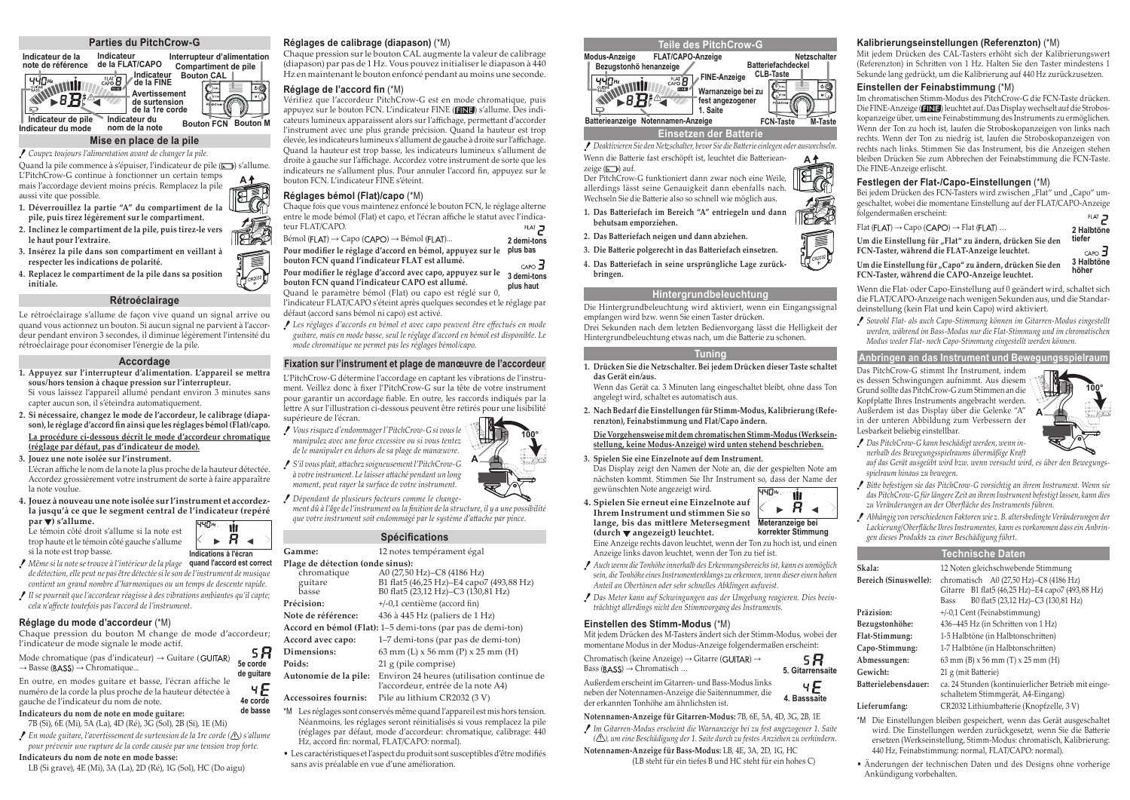#### **Parties du PitchCrow-G**

**Indicateur de la Interrupteur d'alimentation Indicateur de la FLAT/CAPO Compartiment de pile note de référence Indicateur** Bouton CAL WWW. **Indicateur de la FINE EINE** 

**Avertissement**  ⋝ **de surtension**   $\Box$ **de la 1re corde Indicateur de pile Indicateur du Bouton FCN Bouton M Indicateur du mode nom de la note**

#### **Mise en place de la pile**

*Coupez toujours l'alimentation avant de changer la pile.*

Quand la pile commence à s'épuiser, l'indicateur de pile ( ) s'allume. L'PitchCrow-G continue à fonctionner un certain temps mais l'accordage devient moins précis. Remplacez la pile **A**

aussi vite que possible. **1. Déverrouillez la partie "A" du compartiment de la pile, puis tirez légèrement sur le compartiment.**

**2. Inclinez le compartiment de la pile, puis tirez-le vers le haut pour l'extraire.**

**3. Insérez la pile dans son compartiment en veillant à respecter les indications de polarité.**

**4. Replacez le compartiment de la pile dans sa position initiale.**

#### **Rétroéclairage**

Le rétroéclairage s'allume de façon vive quand un signal arrive ou quand vous actionnez un bouton. Si aucun signal ne parvient à l'accordeur pendant environ 3 secondes, il diminue légèrement l'intensité du rétroéclairage pour économiser l'énergie de la pile.

#### **Accordage**

**1. Appuyez sur l'interrupteur d'alimentation. L'appareil se mettra sous/hors tension à chaque pression sur l'interrupteur.**

Si vous laissez l'appareil allumé pendant environ 3 minutes sans capter aucun son, il s'éteindra automatiquement.

- **2. Si nécessaire, changez le mode de l'accordeur, le calibrage (diapason), le réglage d'accord fin ainsi que les réglages bémol (Flat)/capo. La procédure ci-dessous décrit le mode d'accordeur chromatique (réglage par défaut, pas d'indicateur de mode).**
- **3. Jouez une note isolée sur l'instrument.**

L'écran affiche le nom de la note la plus proche de la hauteur détectée. Accordez grossièrement votre instrument de sorte à faire apparaître la note voulue.

> -8 **A**

> > чE

**4. Jouez à nouveau une note isolée sur l'instrument et accordezla jusqu'à ce que le segment central de l'indicateur (repéré par ) s'allume.**

Le témoin côté droit s'allume si la note est trop haute et le témoin côté gauche s'allume si la note est trop basse.

- *Même si la note se trouve à l'intérieur de la plage*  **quand l'accord est correct** *de détection, elle peut ne pas être détectée si le son de l'instrument de musique contient un grand nombre d'harmoniques ou un temps de descente rapide.* **Indications à l'écran**
- *Il se pourrait que l'accordeur réagisse à des vibrations ambiantes qu'il capte; cela n'affecte toutefois pas l'accord de l'instrument.*

# **Réglage du mode d'accordeur** (\*M)

Chaque pression du bouton M change de mode d'accordeur; l'indicateur de mode signale le mode actif. 58

Mode chromatique (pas d'indicateur)  $\rightarrow$  Guitare (GUITAR)  $\rightarrow$  Basse (BASS)  $\rightarrow$  Chromatique... **5e corde de guitare**

En outre, en modes guitare et basse, l'écran affiche le numéro de la corde la plus proche de la hauteur détectée à gauche de l'indicateur du nom de note. **4e corde de basse**

# **Indicateurs du nom de note en mode guitare:**

7B (Si), 6E (Mi), 5A (La), 4D (Ré), 3G (Sol), 2B (Si), 1E (Mi)

*En mode guitare, l'avertissement de surtension de la 1re corde ( ) s'allume pour prévenir une rupture de la corde causée par une tension trop forte.*

#### **Indicateurs du nom de note en mode basse:**

LB (Si grave), 4E (Mi), 3A (La), 2D (Ré), 1G (Sol), HC (Do aigu)

#### **Réglages de calibrage (diapason)** (\*M)

Chaque pression sur le bouton CAL augmente la valeur de calibrage (diapason) par pas de 1 Hz. Vous pouvez initialiser le diapason à 440 Hz en maintenant le bouton enfoncé pendant au moins une seconde.

#### **Réglage de l'accord fin** (\*M)

Vérifiez que l'accordeur PitchCrow-G est en mode chromatique, puis appuyez sur le bouton FCN. L'indicateur FINE (**ENE**) s'allume. Des indicateurs lumineux apparaissent alors sur l'affichage, permettant d'accorder l'instrument avec une plus grande précision. Quand la hauteur est trop élevée, les indicateurs lumineux s'allument de gauche à droite sur l'affichage. Quand la hauteur est trop basse, les indicateurs lumineux s'allument de droite à gauche sur l'affichage. Accordez votre instrument de sorte que les indicateurs ne s'allument plus. Pour annuler l'accord fin, appuyez sur le bouton FCN. L'indicateur FINE s'éteint.

#### **Réglages bémol (Flat)/capo** (\*M)

| Chaque fois que vous maintenez enfoncé le bouton FCN, le réglage alterne        |                   |
|---------------------------------------------------------------------------------|-------------------|
| entre le mode bémol (Flat) et capo, et l'écran affiche le statut avec l'indica- |                   |
| teur FLAT/CAPO.                                                                 | FLAT <sub>2</sub> |
| Bémol (FLAT) $\rightarrow$ Capo (CAPO) $\rightarrow$ Bémol (FLAT)               | 2 demi-tons       |
| Pour modifier le réglage d'accord en bémol, appuyez sur le                      | plus bas          |
| bouton FCN quand l'indicateur FLAT est allumé.                                  | $CAPO$ $\Box$     |
| Pour modifier le réglage d'accord avec capo, appuyez sur le                     | 3 demi-tons       |
| bouton FCN quand l'indicateur CAPO est allumé.                                  | plus haut         |
| $\alpha$ ii $\alpha$ is the set of the set of $\alpha$                          |                   |

Quand le paramètre bémol (Flat) ou capo est réglé sur 0, l'indicateur FLAT/CAPO s'éteint après quelques secondes et le réglage par défaut (accord sans bémol ni capo) est activé.

*Les réglages d'accords en bémol et avec capo peuvent être effectués en mode guitare, mais en mode basse, seul le réglage d'accord en bémol est disponible. Le mode chromatique ne permet pas les réglages bémol/capo.*

# **Fixation sur l'instrument et plage de manœuvre de l'accordeur**

L'PitchCrow-G détermine l'accordage en captant les vibrations de l'instrument. Veillez donc à fixer l'PitchCrow-G sur la tête de votre instrument pour garantir un accordage fiable. En outre, les raccords indiqués par la lettre A sur l'illustration ci-dessous peuvent être retirés pour une lisibilité supérieure de l'écran.

*Vous risquez d'endommager l'PitchCrow-G si vous le manipulez avec une force excessive ou si vous tentez de le manipuler en dehors de sa plage de manœuvre.*

*S'il vous plait, attachez soigneusement l'PitchCrow-G à votre instrument. Le laisser attaché pendant un long moment, peut rayer la surface de votre instrument.*

*Dépendant de plusieurs facteurs comme le changement dû à l'âge de l'instrument ou la finition de la structure, il y a une possibilité* 

#### **Spécifications**

| Gamme:                                                      | 12 notes tempérament égal                                                  |  |
|-------------------------------------------------------------|----------------------------------------------------------------------------|--|
| Plage de détection (onde sinus):                            |                                                                            |  |
| chromatique                                                 | A0 (27,50 Hz)-C8 (4186 Hz)                                                 |  |
| guitare                                                     | B1 flat5 (46,25 Hz)-E4 capo7 (493,88 Hz)                                   |  |
| basse                                                       | B0 flat5 (23,12 Hz)–C3 (130,81 Hz)                                         |  |
| Précision:                                                  | $+/-0.1$ centième (accord fin)                                             |  |
| Note de référence:                                          | 436 à 445 Hz (paliers de 1 Hz)                                             |  |
| Accord en bémol (Flat): 1–5 demi-tons (par pas de demi-ton) |                                                                            |  |
| Accord avec capo:                                           | 1–7 demi-tons (par pas de demi-ton)                                        |  |
| Dimensions:                                                 | 63 mm $(L)$ x 56 mm $(P)$ x 25 mm $(H)$                                    |  |
| Poids:                                                      | 21 g (pile comprise)                                                       |  |
| Autonomie de la pile:                                       | Environ 24 heures (utilisation continue de                                 |  |
|                                                             | l'accordeur, entrée de la note A4)                                         |  |
| Accessoires fournis:                                        | Pile au lithium CR2032 (3 V)                                               |  |
|                                                             | *M Les réglages sont conservés même quand l'appareil est mis hors tension. |  |

- Néanmoins, les réglages seront réinitialisés si vous remplacez la pile (réglages par défaut, mode d'accordeur: chromatique, calibrage: 440 Hz, accord fin: normal, FLAT/CAPO: normal).
- Les caractéristiques et l'aspect du produit sont susceptibles d'être modifiés sans avis préalable en vue d'une amélioration.



*Deaktivieren Sie den Netzschalter, bevor Sie die Batterie einlegen oder auswechseln.* Wenn die Batterie fast erschöpft ist, leuchtet die Batteriean-**A**

zeige (Fb) auf. Der PitchCrow-G funktioniert dann zwar noch eine Weile, allerdings lässt seine Genauigkeit dann ebenfalls nach. Wechseln Sie die Batterie also so schnell wie möglich aus.

- **1. Das Batteriefach im Bereich "A" entriegeln und dann behutsam emporziehen.**
- **2. Das Batteriefach neigen und dann abziehen.**

**3. Die Batterie polgerecht in das Batteriefach einsetzen.**

**4. Das Batteriefach in seine ursprüngliche Lage zurückbringen.**

#### **Hintergrundbeleuchtung**

Die Hintergrundbeleuchtung wird aktiviert, wenn ein Eingangssignal empfangen wird bzw. wenn Sie einen Taster drücken. Drei Sekunden nach dem letzten Bedienvorgang lässt die Helligkeit der Hintergrundbeleuchtung etwas nach, um die Batterie zu schonen.

#### **Tuning**

**1. Drücken Sie die Netzschalter. Bei jedem Drücken dieser Taste schaltet das Gerät ein/aus.**

Wenn das Gerät ca. 3 Minuten lang eingeschaltet bleibt, ohne dass Ton angelegt wird, schaltet es automatisch aus.

**2. Nach Bedarf die Einstellungen für Stimm-Modus, Kalibrierung (Referenzton), Feinabstimmung und Flat/Capo ändern.**

#### **Die Vorgehensweise mit dem chromatischen Stimm-Modus (Werkseinstellung, keine Modus-Anzeige) wird unten stehend beschrieben.**

#### **3. Spielen Sie eine Einzelnote auf dem Instrument.**

Das Display zeigt den Namen der Note an, die der gespielten Note am nächsten kommt. Stimmen Sie Ihr Instrument so, dass der Name der gewünschten Note angezeigt wird. 440#

- 'úr **4. Spielen Sie erneut eine Einzelnote auf**   $R_{\mathcal{A}}$  $\mathbf{b}$ **Ihrem Instrument und stimmen Sie so lange, bis das mittlere Metersegment Meteranzeige bei korrekter Stimmung (durch angezeigt) leuchtet.** Eine Anzeige rechts davon leuchtet, wenn der Ton zu hoch ist, und einen Anzeige links davon leuchtet, wenn der Ton zu tief ist.
- *Auch wenn die Tonhöhe innerhalb des Erkennungsbereichs ist, kann es unmöglich sein, die Tonhöhe eines Instrumentenklangs zu erkennen, wenn dieser einen hohen Anteil an Obertönen oder sehr schnelles Abklingen aufweist.*
- *Das Meter kann auf Schwingungen aus der Umgebung reagieren. Dies beeinträchtigt allerdings nicht den Stimmvorgang des Instruments.*

#### **Einstellen des Stimm-Modus** (\*M)

Mit jedem Drücken des M-Tasters ändert sich der Stimm-Modus, wobei der momentane Modus in der Modus-Anzeige folgendermaßen erscheint:

58

Chromatisch (keine Anzeige)  $\rightarrow$  Gitarre (GUITAR)  $\rightarrow$ Bass ( $BASS$ )  $\rightarrow$  Chromatisch ... **5. Gitarrensaite**

Außerdem erscheint im Gitarren- und Bass-Modus links чE neben der Notennamen-Anzeige die Saitennummer, die **4. Basssaite** der erkannten Tonhöhe am ähnlichsten ist.

**Notennamen-Anzeige für Gitarren-Modus:** 7B, 6E, 5A, 4D, 3G, 2B, 1E

*Im Gitarren-Modus erscheint die Warnanzeige bei zu fest angezogener 1. Saite ( ), um eine Beschädigung der 1. Saite durch zu festes Anziehen zu verhindern.*

**Notennamen-Anzeige für Bass-Modus:** LB, 4E, 3A, 2D, 1G, HC (LB steht für ein tiefes B und HC steht für ein hohes C)

#### **Kalibrierungseinstellungen (Referenzton)** (\*M)

Mit jedem Drücken des CAL-Tasters erhöht sich der Kalibrierungswert (Referenzton) in Schritten von 1 Hz. Halten Sie den Taster mindestens 1 Sekunde lang gedrückt, um die Kalibrierung auf 440 Hz zurückzusetzen.

#### **Einstellen der Feinabstimmung** (\*M)

Im chromatischen Stimm-Modus des PitchCrow-G die FCN-Taste drücken. Die FINE-Anzeige (**INE**) leuchtet auf. Das Display wechselt auf die Stroboskopanzeige über, um eine Feinabstimmung des Instruments zu ermöglichen. Wenn der Ton zu hoch ist, laufen die Stroboskopanzeigen von links nach rechts. Wenn der Ton zu niedrig ist, laufen die Stroboskopanzeigen von rechts nach links. Stimmen Sie das Instrument, bis die Anzeigen stehen bleiben Drücken Sie zum Abbrechen der Feinabstimmung die FCN-Taste. Die FINE-Anzeige erlischt.



Bei jedem Drücken des FCN-Tasters wird zwischen "Flat" und "Capo" umgeschaltet, wobei die momentane Einstellung auf der FLAT/CAPO-Anzeige folgendermaßen erscheint: FLAT<sub>3</sub>

| $Flat$ (FLAT) $\rightarrow$ Capo (CAPO) $\rightarrow$ Flat (FLAT) | 2 Halbtöne            |
|-------------------------------------------------------------------|-----------------------|
| Um die Einstellung für "Flat" zu ändern, drücken Sie den          | tiefer                |
| FCN-Taster, während die FLAT-Anzeige leuchtet.                    | $CAPO$ $\overline{J}$ |
| Um die Einstellung für "Capo" zu ändern, drücken Sie den          | 3 Halbtöne            |
| FCN-Taster, während die CAPO-Anzeige leuchtet.                    | höher                 |

Wenn die Flat- oder Capo-Einstellung auf 0 geändert wird, schaltet sich die FLAT/CAPO-Anzeige nach wenigen Sekunden aus, und die Standardeinstellung (kein Flat und kein Capo) wird aktiviert.

*Sowohl Flat- als auch Capo-Stimmung können im Gitarren-Modus eingestellt werden, während im Bass-Modus nur die Flat-Stimmung und im chromatischen Modus weder Flat- noch Capo-Stimmung eingestellt werden können.*

#### **Anbringen an das Instrument und Bewegungsspielraum**

Das PitchCrow-G stimmt Ihr Instrument, indem es dessen Schwingungen aufnimmt. Aus diesem Grund sollte das PitchCrow-G zum Stimmen an die Kopfplatte Ihres Instruments angebracht werden. Außerdem ist das Display über die Gelenke "A" in der unteren Abbildung zum Verbessern der Lesbarkeit beliebig einstellbar.



*Das PitchCrow-G kann beschädigt werden, wenn innerhalb des Bewegungsspielraums übermäßige Kraft* 

*auf das Gerät ausgeübt wird bzw. wenn versucht wird, es über den Bewegungsspielraum hinaus zu bewegen.*

- *Bitte befestigen sie das PitchCrow-G vorsichtig an ihrem Instrument. Wenn sie das PitchCrow-G für längere Zeit an ihrem Instrument befestigt lassen, kann dies zu Veränderungen an der Oberfläche des Instruments führen.*
- *Abhängig von verschiedenen Faktoren wie z. B. altersbedingte Veränderungen der Lackierung/Oberfläche Ihres Instrumentes, kann es vorkommen dass ein Anbringen dieses Produkts zu einer Beschädigung führt.*

# **Technische Daten**

| Skala:                                                                    | 12 Noten gleichschwebende Stimmung                  |
|---------------------------------------------------------------------------|-----------------------------------------------------|
| Bereich (Sinuswelle):                                                     | chromatisch A0 (27,50 Hz)-C8 (4186 Hz)              |
|                                                                           | Gitarre B1 flat5 (46,25 Hz)-E4 capo7 (493,88 Hz)    |
|                                                                           | B0 flat5 (23,12 Hz)-C3 (130,81 Hz)<br>Bass          |
| Präzision:                                                                | $+/-0.1$ Cent (Feinabstimmung)                      |
| Bezugstonhöhe:                                                            | 436-445 Hz (in Schritten von 1 Hz)                  |
| Flat-Stimmung:                                                            | 1-5 Halbtöne (in Halbtonschritten)                  |
| Capo-Stimmung:                                                            | 1-7 Halbtöne (in Halbtonschritten)                  |
| Abmessungen:                                                              | 63 mm (B) $x 56$ mm (T) $x 25$ mm (H)               |
| Gewicht:                                                                  | 21 g (mit Batterie)                                 |
| Batterielebensdauer:                                                      | ca. 24 Stunden (kontinuierlicher Betrieb mit einge- |
|                                                                           | schaltetem Stimmgerät, A4-Eingang)                  |
| Lieferumfang:                                                             | CR2032 Lithiumbatterie (Knopfzelle, 3 V)            |
| *M : Dia Einstellengen kleiken genesiskent sonne des Couït ensgeschaltet. |                                                     |

- \*M Die Einstellungen bleiben gespeichert, wenn das Gerät ausgeschaltet wird. Die Einstellungen werden zurückgesetzt, wenn Sie die Batterie ersetzen (Werkseinstellung, Stimm-Modus: chromatisch, Kalibrierung: 440 Hz, Feinabstimmung: normal, FLAT/CAPO: normal).
- Änderungen der technischen Daten und des Designs ohne vorherige Ankündigung vorbehalten.

*que votre instrument soit endommagé par le système d'attache par pince.*

**A**

**100°**